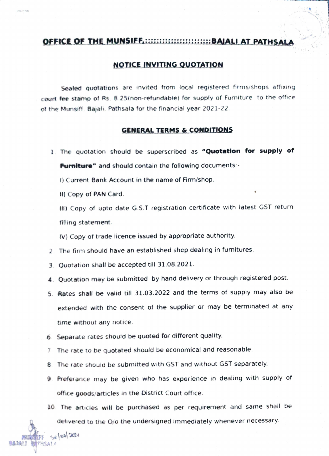## OFFICE OF THE MUNSIFF.::::::::::::::::::::::::BAIALI AT PATHSAL

## NOTICE INVITING QuOTATION

Sealed quotations are invited from local registered firms/shops affixing court fee stamp of Rs. 8.25(non-refundable) for supply of Furniture to the office of the Munsiff, Bajali, Pathsala for the financial year 2021-22.

## GENERALTERMS & cONDITIONS

1. The quotation should be superscribed as "Quotation for supply of Furniture" and should contain the following documents:-

) Current Bank Account in the name of Firm/shop.

) Copy of PAN Card.

**BA 1A11** 

20100/2021

) Copy of upto date G.S.T registration certificate with latest GST return filling statement.

V) Copy of trade licence issued by appropriate authority.

- 2. The firm should have an established shcp dealing in furnitures.
- 3. Quotation shall be accepted till 31.08.2021.
- 4. Quotation may be submitted by hand delivery or through registered post.
- 5. Rates shall be valid till 31.03.2022 and the terms of supply may also be extended with the consent of the supplier or may be terminated at any time without any notice
- 6. Separate rates should be quoted for different quality.
- The rate to be quotated should be economical and reasonable.
- 8. The rate should be submitted with GST and without GST separately.
- 9. Preterance may be given who has experience in dealing with supply of office goods/articles in the District Court office.

10. The articles will be purchased as per requirement and same shall be delivered to the O/o the undersigned immediately whenever necessary.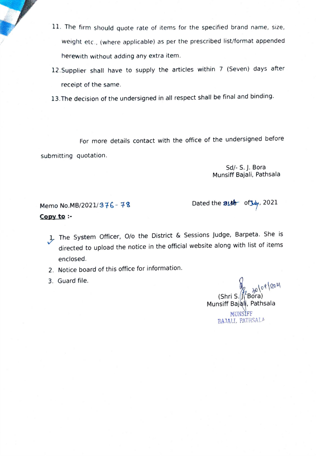- 11. The firm should quote rate of items for the specified brand name, size, weight etc., (where applicable) as per the prescribed list/format appended herewith without adding any extra item.
- 12.Supplier shall have to supply the articles within 7 (Seven) days after receipt of the same.
- 13.The decision of the undersigned in all respect shall be final and binding.

For more details contact with the office of the undersigned before submitting quotation.

> Sd/- S.J. Bora Munsiff Bajali, Pathsala

Memo No.MB/2021/376 - 78 Dated the 31th of  $\frac{1}{2}$ Copy to :-

1The System Officer, O/o the District & Sessions Judge, Barpeta. She is directed to upload the notice in the official website along with list of items enclosed.

2. Notice board of this office for information.

3. Guard file.

(Shri S. Bora) Munsiff Bajali, Pathsala MUNSIFF BA.1ALI, PATHSALA